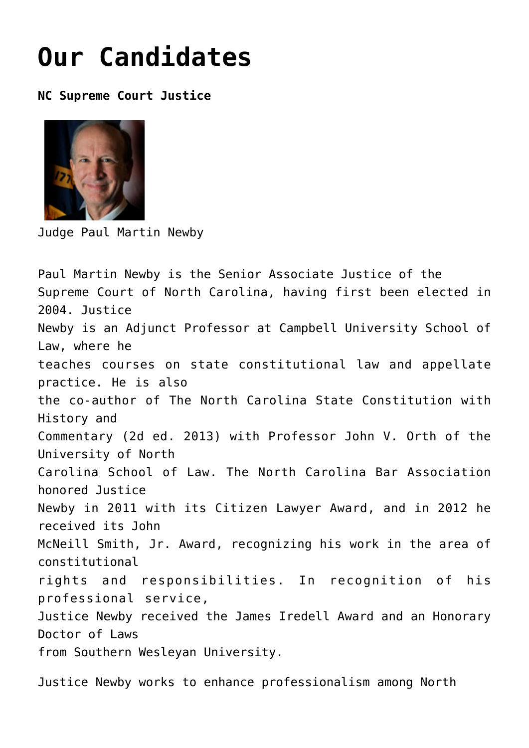## **[Our Candidates](https://columbuscountyconservative.com/index.php/event-photos/)**

**NC Supreme Court Justice**



Judge Paul Martin Newby

Paul Martin Newby is the Senior Associate Justice of the Supreme Court of North Carolina, having first been elected in 2004. Justice Newby is an Adjunct Professor at Campbell University School of Law, where he teaches courses on state constitutional law and appellate practice. He is also the co-author of The North Carolina State Constitution with History and Commentary (2d ed. 2013) with Professor John V. Orth of the University of North Carolina School of Law. The North Carolina Bar Association honored Justice Newby in 2011 with its Citizen Lawyer Award, and in 2012 he received its John McNeill Smith, Jr. Award, recognizing his work in the area of constitutional rights and responsibilities. In recognition of his professional service, Justice Newby received the James Iredell Award and an Honorary Doctor of Laws from Southern Wesleyan University.

Justice Newby works to enhance professionalism among North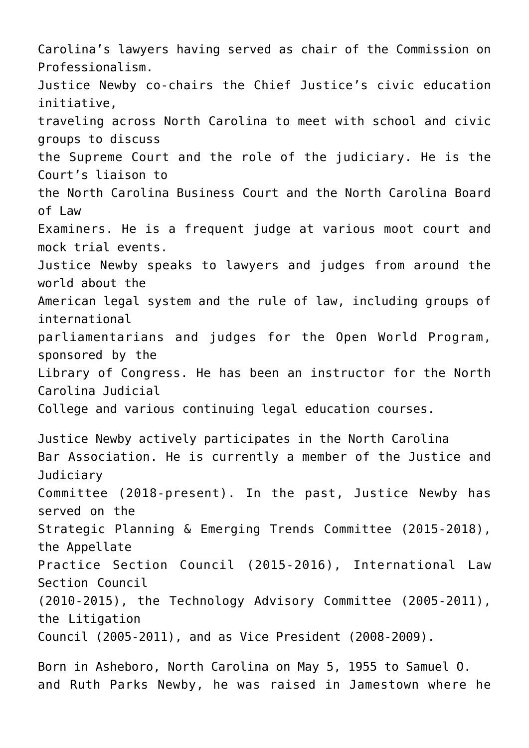Carolina's lawyers having served as chair of the Commission on Professionalism. Justice Newby co-chairs the Chief Justice's civic education initiative, traveling across North Carolina to meet with school and civic groups to discuss the Supreme Court and the role of the judiciary. He is the Court's liaison to the North Carolina Business Court and the North Carolina Board of Law Examiners. He is a frequent judge at various moot court and mock trial events. Justice Newby speaks to lawyers and judges from around the world about the American legal system and the rule of law, including groups of international parliamentarians and judges for the Open World Program, sponsored by the Library of Congress. He has been an instructor for the North Carolina Judicial College and various continuing legal education courses. Justice Newby actively participates in the North Carolina Bar Association. He is currently a member of the Justice and Judiciary Committee (2018-present). In the past, Justice Newby has served on the Strategic Planning & Emerging Trends Committee (2015-2018), the Appellate Practice Section Council (2015-2016), International Law Section Council (2010-2015), the Technology Advisory Committee (2005-2011), the Litigation Council (2005-2011), and as Vice President (2008-2009). Born in Asheboro, North Carolina on May 5, 1955 to Samuel O.

and Ruth Parks Newby, he was raised in Jamestown where he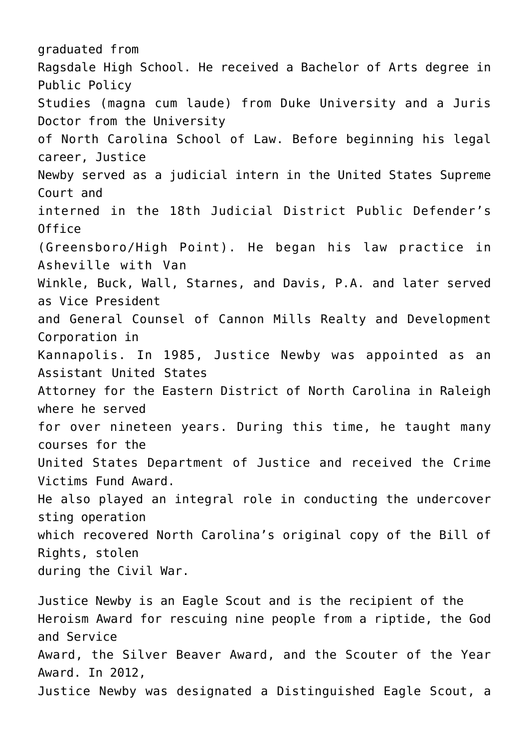graduated from Ragsdale High School. He received a Bachelor of Arts degree in Public Policy Studies (magna cum laude) from Duke University and a Juris Doctor from the University of North Carolina School of Law. Before beginning his legal career, Justice Newby served as a judicial intern in the United States Supreme Court and interned in the 18th Judicial District Public Defender's Office (Greensboro/High Point). He began his law practice in Asheville with Van Winkle, Buck, Wall, Starnes, and Davis, P.A. and later served as Vice President and General Counsel of Cannon Mills Realty and Development Corporation in Kannapolis. In 1985, Justice Newby was appointed as an Assistant United States Attorney for the Eastern District of North Carolina in Raleigh where he served for over nineteen years. During this time, he taught many courses for the United States Department of Justice and received the Crime Victims Fund Award. He also played an integral role in conducting the undercover sting operation which recovered North Carolina's original copy of the Bill of Rights, stolen during the Civil War.

Justice Newby is an Eagle Scout and is the recipient of the Heroism Award for rescuing nine people from a riptide, the God and Service Award, the Silver Beaver Award, and the Scouter of the Year Award. In 2012, Justice Newby was designated a Distinguished Eagle Scout, a